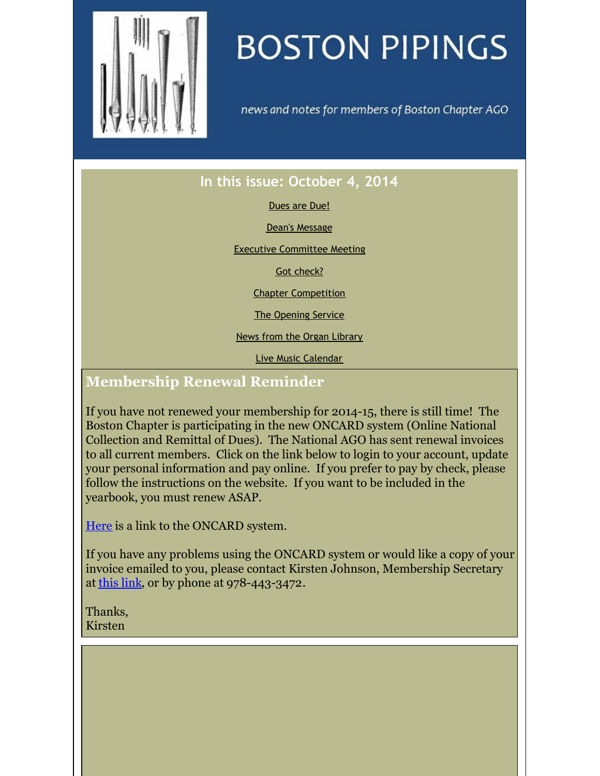<span id="page-0-0"></span>

# **BOSTON PIPINGS**

news and notes for members of Boston Chapter AGO

## **In this issue: October 4, 2014**

#### [Dues](#page-0-0) are Due!

Dean's [Message](#page-0-0)

Executive [Committee](#page-0-0) Meeting

Got [check?](#page-0-0)

Chapter [Competition](#page-0-0)

The [Opening](#page-0-0) Service

News from the Organ [Library](#page-0-0)

Live Music [Calendar](#page-0-0)

## **Membership Renewal Reminder**

If you have not renewed your membership for 2014-15, there is still time! The Boston Chapter is participating in the new ONCARD system (Online National Collection and Remittal of Dues). The National AGO has sent renewal invoices to all current members. Click on the link below to login to your account, update your personal information and pay online. If you prefer to pay by check, please follow the instructions on the website. If you want to be included in the yearbook, you must renew ASAP.

[Here](https://www.agohq.org/oncard-login/) is a link to the ONCARD system.

If you have any problems using the ONCARD system or would like a copy of your invoice emailed to you, please contact Kirsten Johnson, Membership Secretary at [this](mailto:johnson.kirsten24@gmail.com) link, or by phone at 978-443-3472.

Thanks, Kirsten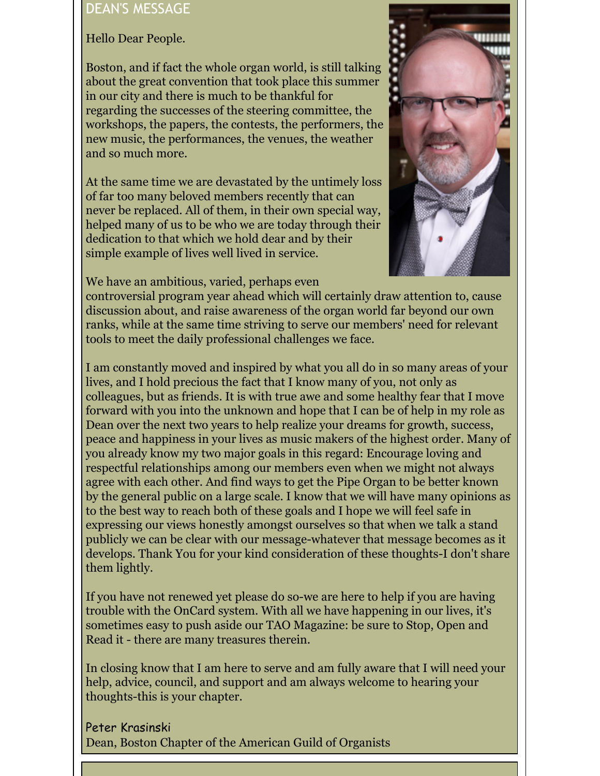#### DEAN'S MESSAGE

Hello Dear People.

Boston, and if fact the whole organ world, is still talking about the great convention that took place this summer in our city and there is much to be thankful for regarding the successes of the steering committee, the workshops, the papers, the contests, the performers, the new music, the performances, the venues, the weather and so much more.

At the same time we are devastated by the untimely loss of far too many beloved members recently that can never be replaced. All of them, in their own special way, helped many of us to be who we are today through their dedication to that which we hold dear and by their simple example of lives well lived in service.





controversial program year ahead which will certainly draw attention to, cause discussion about, and raise awareness of the organ world far beyond our own ranks, while at the same time striving to serve our members' need for relevant tools to meet the daily professional challenges we face.

I am constantly moved and inspired by what you all do in so many areas of your lives, and I hold precious the fact that I know many of you, not only as colleagues, but as friends. It is with true awe and some healthy fear that I move forward with you into the unknown and hope that I can be of help in my role as Dean over the next two years to help realize your dreams for growth, success, peace and happiness in your lives as music makers of the highest order. Many of you already know my two major goals in this regard: Encourage loving and respectful relationships among our members even when we might not always agree with each other. And find ways to get the Pipe Organ to be better known by the general public on a large scale. I know that we will have many opinions as to the best way to reach both of these goals and I hope we will feel safe in expressing our views honestly amongst ourselves so that when we talk a stand publicly we can be clear with our message-whatever that message becomes as it develops. Thank You for your kind consideration of these thoughts-I don't share them lightly.

If you have not renewed yet please do so-we are here to help if you are having trouble with the OnCard system. With all we have happening in our lives, it's sometimes easy to push aside our TAO Magazine: be sure to Stop, Open and Read it - there are many treasures therein.

In closing know that I am here to serve and am fully aware that I will need your help, advice, council, and support and am always welcome to hearing your thoughts-this is your chapter.

Peter Krasinski Dean, Boston Chapter of the American Guild of Organists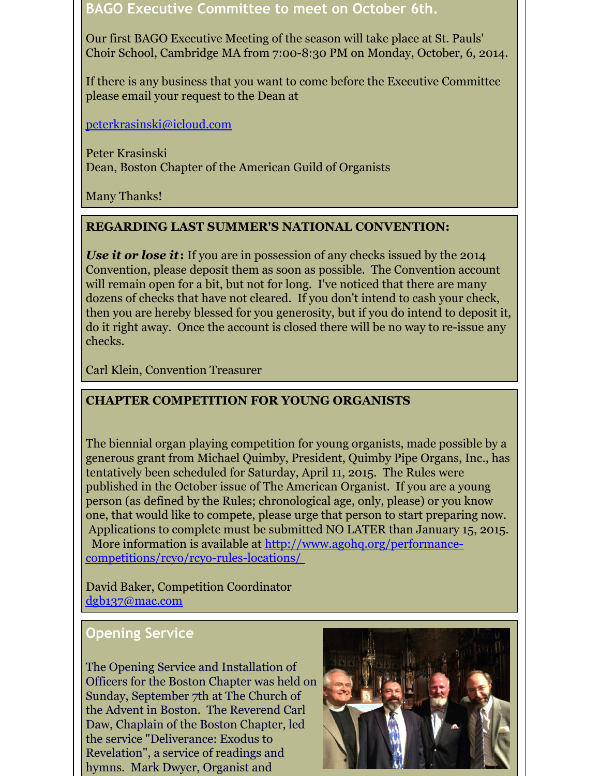#### **BAGO Executive Committee to meet on October 6th.**

Our first BAGO Executive Meeting of the season will take place at St. Pauls' Choir School, Cambridge MA from 7:00-8:30 PM on Monday, October, 6, 2014.

If there is any business that you want to come before the Executive Committee please email your request to the Dean at

[peterkrasinski@icloud.com](mailto:peterkrasinski@icloud.com)

Peter Krasinski Dean, Boston Chapter of the American Guild of Organists

Many Thanks!

#### **REGARDING LAST SUMMER'S NATIONAL CONVENTION:**

*Use it or lose it***:** If you are in possession of any checks issued by the 2014 Convention, please deposit them as soon as possible. The Convention account will remain open for a bit, but not for long. I've noticed that there are many dozens of checks that have not cleared. If you don't intend to cash your check, then you are hereby blessed for you generosity, but if you do intend to deposit it, do it right away. Once the account is closed there will be no way to re-issue any checks.

Carl Klein, Convention Treasurer

#### **CHAPTER COMPETITION FOR YOUNG ORGANISTS**

The biennial organ playing competition for young organists, made possible by a generous grant from Michael Quimby, President, Quimby Pipe Organs, Inc., has tentatively been scheduled for Saturday, April 11, 2015. The Rules were published in the October issue of The American Organist. If you are a young person (as defined by the Rules; chronological age, only, please) or you know one, that would like to compete, please urge that person to start preparing now. Applications to complete must be submitted NO LATER than January 15, 2015. More information is available at http://www.agohq.org/performance[competitions/rcyo/rcyo-rules-locations/](http://www.agohq.org/performance-competitions/rcyo/rcyo-rules-locations/)

David Baker, Competition Coordinator [dgb137@mac.com](mailto:dgb137@mac.com)

### **Opening Service**

The Opening Service and Installation of Officers for the Boston Chapter was held on Sunday, September 7th at The Church of the Advent in Boston. The Reverend Carl Daw, Chaplain of the Boston Chapter, led the service "Deliverance: Exodus to Revelation", a service of readings and hymns. Mark Dwyer, Organist and